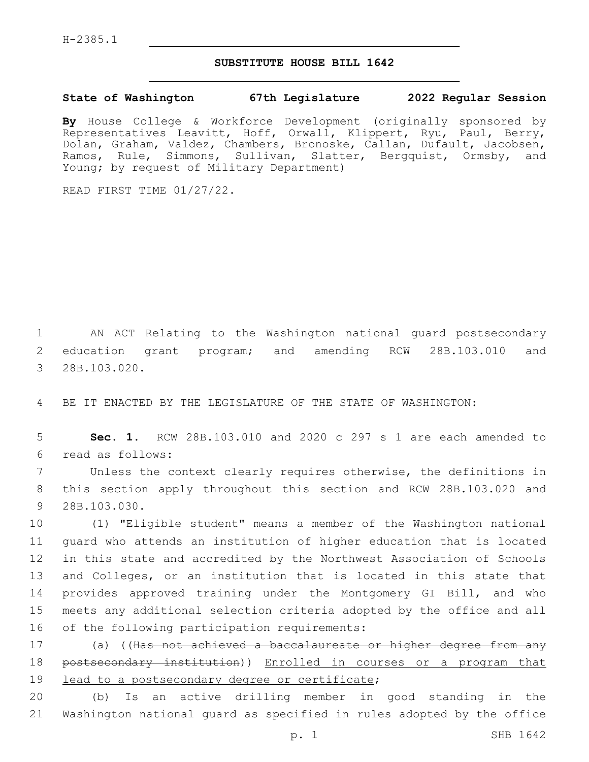H-2385.1

## **SUBSTITUTE HOUSE BILL 1642**

**State of Washington 67th Legislature 2022 Regular Session**

**By** House College & Workforce Development (originally sponsored by Representatives Leavitt, Hoff, Orwall, Klippert, Ryu, Paul, Berry, Dolan, Graham, Valdez, Chambers, Bronoske, Callan, Dufault, Jacobsen, Ramos, Rule, Simmons, Sullivan, Slatter, Bergquist, Ormsby, and Young; by request of Military Department)

READ FIRST TIME 01/27/22.

1 AN ACT Relating to the Washington national guard postsecondary 2 education grant program; and amending RCW 28B.103.010 and 3 28B.103.020.

4 BE IT ENACTED BY THE LEGISLATURE OF THE STATE OF WASHINGTON:

5 **Sec. 1.** RCW 28B.103.010 and 2020 c 297 s 1 are each amended to read as follows:6

7 Unless the context clearly requires otherwise, the definitions in 8 this section apply throughout this section and RCW 28B.103.020 and 9 28B.103.030.

 (1) "Eligible student" means a member of the Washington national guard who attends an institution of higher education that is located in this state and accredited by the Northwest Association of Schools 13 and Colleges, or an institution that is located in this state that provides approved training under the Montgomery GI Bill, and who meets any additional selection criteria adopted by the office and all 16 of the following participation requirements:

17 (a) ((Has not achieved a baccalaureate or higher degree from any 18 postsecondary institution)) Enrolled in courses or a program that 19 lead to a postsecondary degree or certificate;

20 (b) Is an active drilling member in good standing in the 21 Washington national guard as specified in rules adopted by the office

p. 1 SHB 1642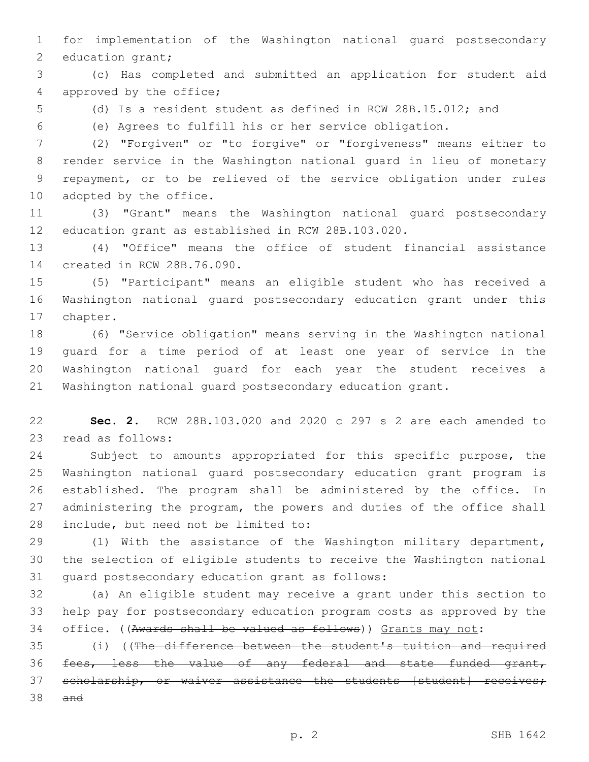for implementation of the Washington national guard postsecondary 2 education grant;

 (c) Has completed and submitted an application for student aid 4 approved by the office;

(d) Is a resident student as defined in RCW 28B.15.012; and

(e) Agrees to fulfill his or her service obligation.

 (2) "Forgiven" or "to forgive" or "forgiveness" means either to render service in the Washington national guard in lieu of monetary repayment, or to be relieved of the service obligation under rules 10 adopted by the office.

 (3) "Grant" means the Washington national guard postsecondary education grant as established in RCW 28B.103.020.

 (4) "Office" means the office of student financial assistance 14 created in RCW 28B.76.090.

 (5) "Participant" means an eligible student who has received a Washington national guard postsecondary education grant under this 17 chapter.

 (6) "Service obligation" means serving in the Washington national guard for a time period of at least one year of service in the Washington national guard for each year the student receives a Washington national guard postsecondary education grant.

 **Sec. 2.** RCW 28B.103.020 and 2020 c 297 s 2 are each amended to 23 read as follows:

 Subject to amounts appropriated for this specific purpose, the Washington national guard postsecondary education grant program is established. The program shall be administered by the office. In administering the program, the powers and duties of the office shall 28 include, but need not be limited to:

 (1) With the assistance of the Washington military department, the selection of eligible students to receive the Washington national 31 quard postsecondary education grant as follows:

 (a) An eligible student may receive a grant under this section to help pay for postsecondary education program costs as approved by the office. ((Awards shall be valued as follows)) Grants may not:

 (i) ((The difference between the student's tuition and required fees, less the value of any federal and state funded grant, 37 scholarship, or waiver assistance the students [student] receives; and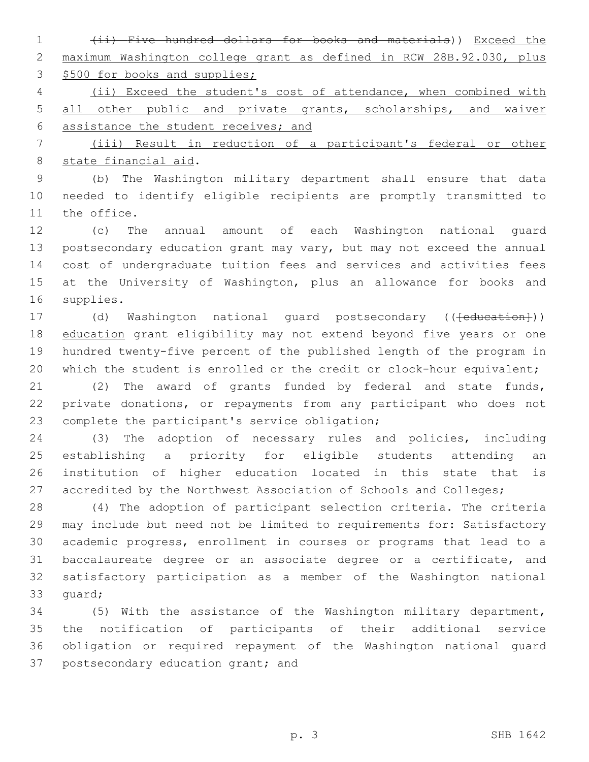(ii) Five hundred dollars for books and materials)) Exceed the maximum Washington college grant as defined in RCW 28B.92.030, plus 3 \$500 for books and supplies;

 (ii) Exceed the student's cost of attendance, when combined with 5 all other public and private grants, scholarships, and waiver assistance the student receives; and

 (iii) Result in reduction of a participant's federal or other 8 state financial aid.

 (b) The Washington military department shall ensure that data needed to identify eligible recipients are promptly transmitted to 11 the office.

 (c) The annual amount of each Washington national guard postsecondary education grant may vary, but may not exceed the annual cost of undergraduate tuition fees and services and activities fees at the University of Washington, plus an allowance for books and 16 supplies.

17 (d) Washington national guard postsecondary ((<del>[education]</del>)) 18 education grant eligibility may not extend beyond five years or one hundred twenty-five percent of the published length of the program in 20 which the student is enrolled or the credit or clock-hour equivalent;

 (2) The award of grants funded by federal and state funds, private donations, or repayments from any participant who does not 23 complete the participant's service obligation;

 (3) The adoption of necessary rules and policies, including establishing a priority for eligible students attending an institution of higher education located in this state that is 27 accredited by the Northwest Association of Schools and Colleges;

 (4) The adoption of participant selection criteria. The criteria may include but need not be limited to requirements for: Satisfactory academic progress, enrollment in courses or programs that lead to a baccalaureate degree or an associate degree or a certificate, and satisfactory participation as a member of the Washington national 33 quard;

 (5) With the assistance of the Washington military department, the notification of participants of their additional service obligation or required repayment of the Washington national guard 37 postsecondary education grant; and